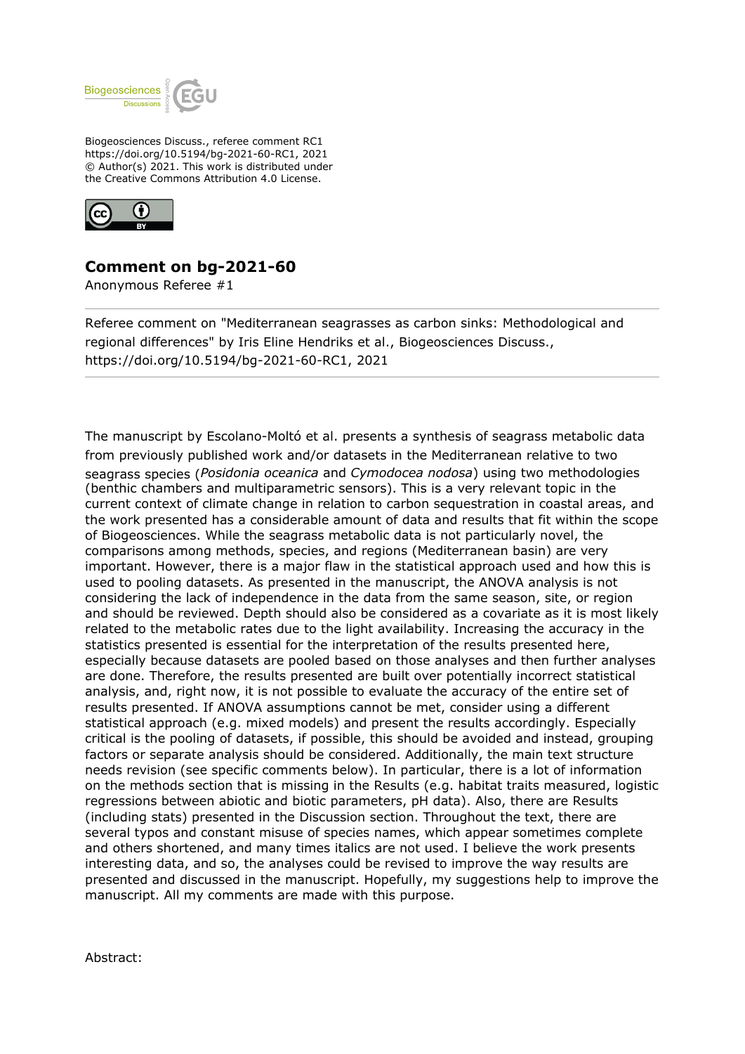

Biogeosciences Discuss., referee comment RC1 https://doi.org/10.5194/bg-2021-60-RC1, 2021 © Author(s) 2021. This work is distributed under the Creative Commons Attribution 4.0 License.



# **Comment on bg-2021-60**

Anonymous Referee #1

Referee comment on "Mediterranean seagrasses as carbon sinks: Methodological and regional differences" by Iris Eline Hendriks et al., Biogeosciences Discuss., https://doi.org/10.5194/bg-2021-60-RC1, 2021

The manuscript by Escolano-Moltó et al. presents a synthesis of seagrass metabolic data from previously published work and/or datasets in the Mediterranean relative to two seagrass species (*Posidonia oceanica* and *Cymodocea nodosa*) using two methodologies (benthic chambers and multiparametric sensors). This is a very relevant topic in the current context of climate change in relation to carbon sequestration in coastal areas, and the work presented has a considerable amount of data and results that fit within the scope of Biogeosciences. While the seagrass metabolic data is not particularly novel, the comparisons among methods, species, and regions (Mediterranean basin) are very important. However, there is a major flaw in the statistical approach used and how this is used to pooling datasets. As presented in the manuscript, the ANOVA analysis is not considering the lack of independence in the data from the same season, site, or region and should be reviewed. Depth should also be considered as a covariate as it is most likely related to the metabolic rates due to the light availability. Increasing the accuracy in the statistics presented is essential for the interpretation of the results presented here, especially because datasets are pooled based on those analyses and then further analyses are done. Therefore, the results presented are built over potentially incorrect statistical analysis, and, right now, it is not possible to evaluate the accuracy of the entire set of results presented. If ANOVA assumptions cannot be met, consider using a different statistical approach (e.g. mixed models) and present the results accordingly. Especially critical is the pooling of datasets, if possible, this should be avoided and instead, grouping factors or separate analysis should be considered. Additionally, the main text structure needs revision (see specific comments below). In particular, there is a lot of information on the methods section that is missing in the Results (e.g. habitat traits measured, logistic regressions between abiotic and biotic parameters, pH data). Also, there are Results (including stats) presented in the Discussion section. Throughout the text, there are several typos and constant misuse of species names, which appear sometimes complete and others shortened, and many times italics are not used. I believe the work presents interesting data, and so, the analyses could be revised to improve the way results are presented and discussed in the manuscript. Hopefully, my suggestions help to improve the manuscript. All my comments are made with this purpose.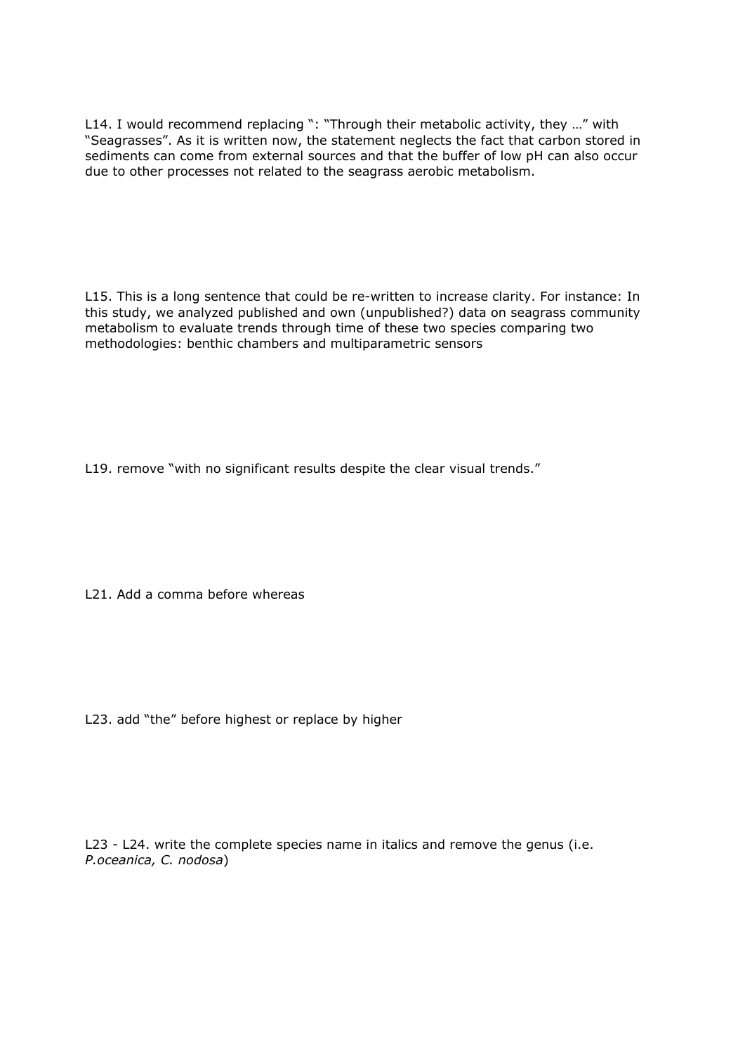L14. I would recommend replacing ": "Through their metabolic activity, they ..." with "Seagrasses". As it is written now, the statement neglects the fact that carbon stored in sediments can come from external sources and that the buffer of low pH can also occur due to other processes not related to the seagrass aerobic metabolism.

L15. This is a long sentence that could be re-written to increase clarity. For instance: In this study, we analyzed published and own (unpublished?) data on seagrass community metabolism to evaluate trends through time of these two species comparing two methodologies: benthic chambers and multiparametric sensors

L19. remove "with no significant results despite the clear visual trends."

L21. Add a comma before whereas

L23. add "the" before highest or replace by higher

L23 - L24. write the complete species name in italics and remove the genus (i.e. *P.oceanica, C. nodosa*)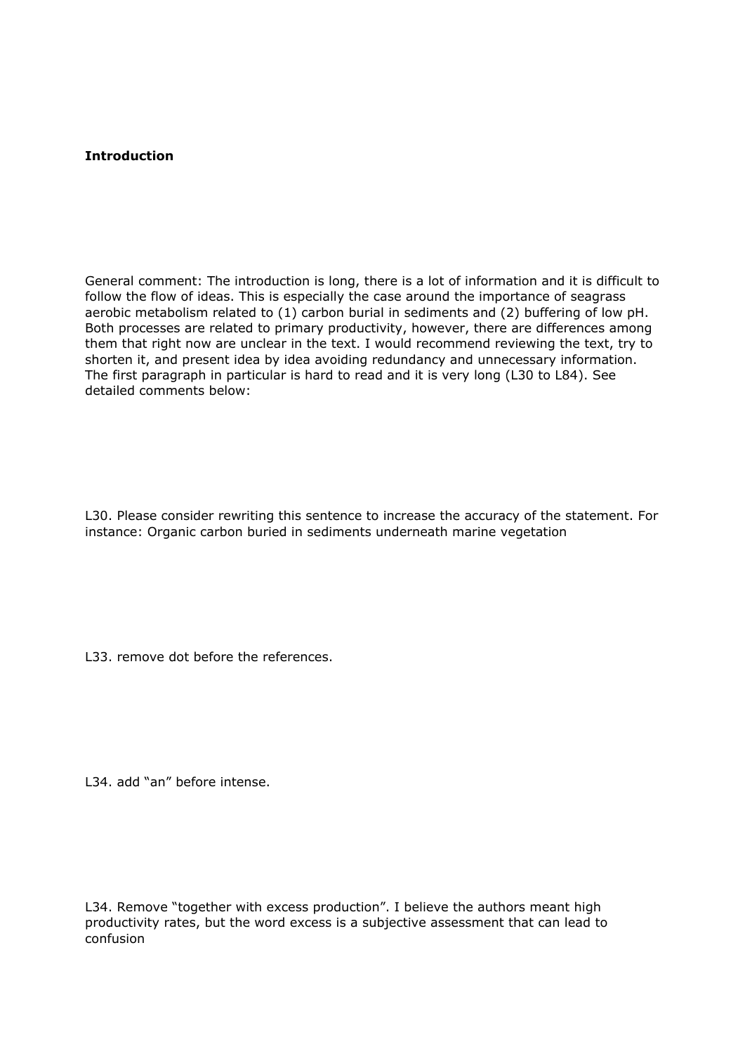## **Introduction**

General comment: The introduction is long, there is a lot of information and it is difficult to follow the flow of ideas. This is especially the case around the importance of seagrass aerobic metabolism related to (1) carbon burial in sediments and (2) buffering of low pH. Both processes are related to primary productivity, however, there are differences among them that right now are unclear in the text. I would recommend reviewing the text, try to shorten it, and present idea by idea avoiding redundancy and unnecessary information. The first paragraph in particular is hard to read and it is very long (L30 to L84). See detailed comments below:

L30. Please consider rewriting this sentence to increase the accuracy of the statement. For instance: Organic carbon buried in sediments underneath marine vegetation

L33. remove dot before the references.

L34. add "an" before intense.

L34. Remove "together with excess production". I believe the authors meant high productivity rates, but the word excess is a subjective assessment that can lead to confusion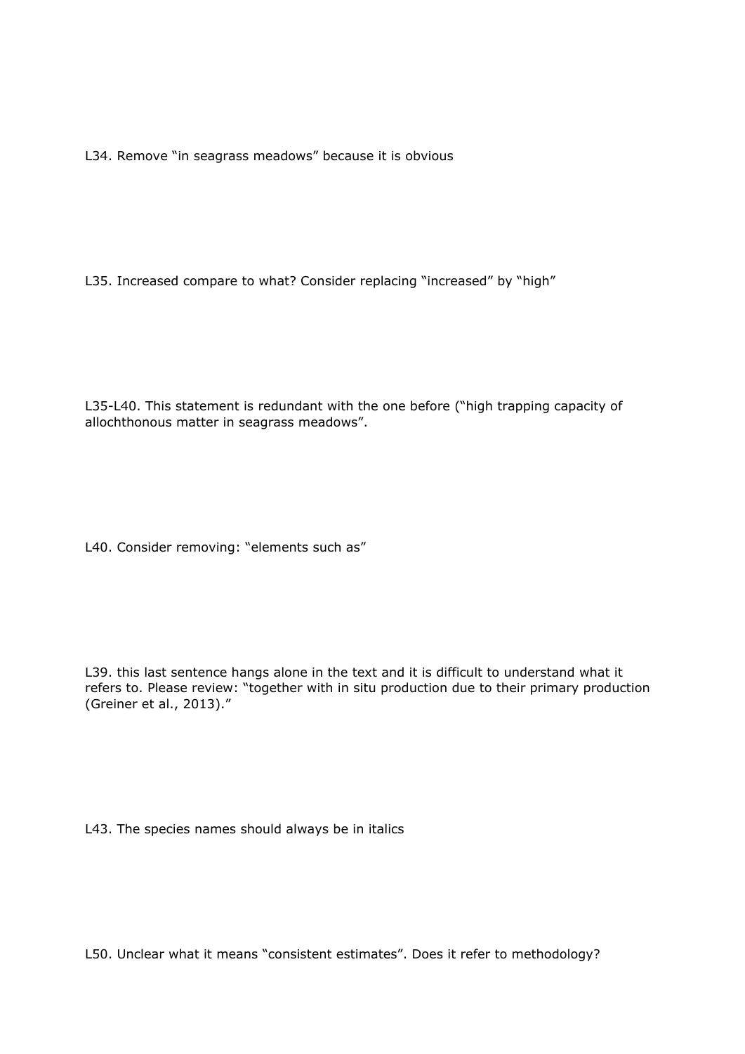L34. Remove "in seagrass meadows" because it is obvious

L35. Increased compare to what? Consider replacing "increased" by "high"

L35-L40. This statement is redundant with the one before ("high trapping capacity of allochthonous matter in seagrass meadows".

L40. Consider removing: "elements such as"

L39. this last sentence hangs alone in the text and it is difficult to understand what it refers to. Please review: "together with in situ production due to their primary production (Greiner et al., 2013)."

L43. The species names should always be in italics

L50. Unclear what it means "consistent estimates". Does it refer to methodology?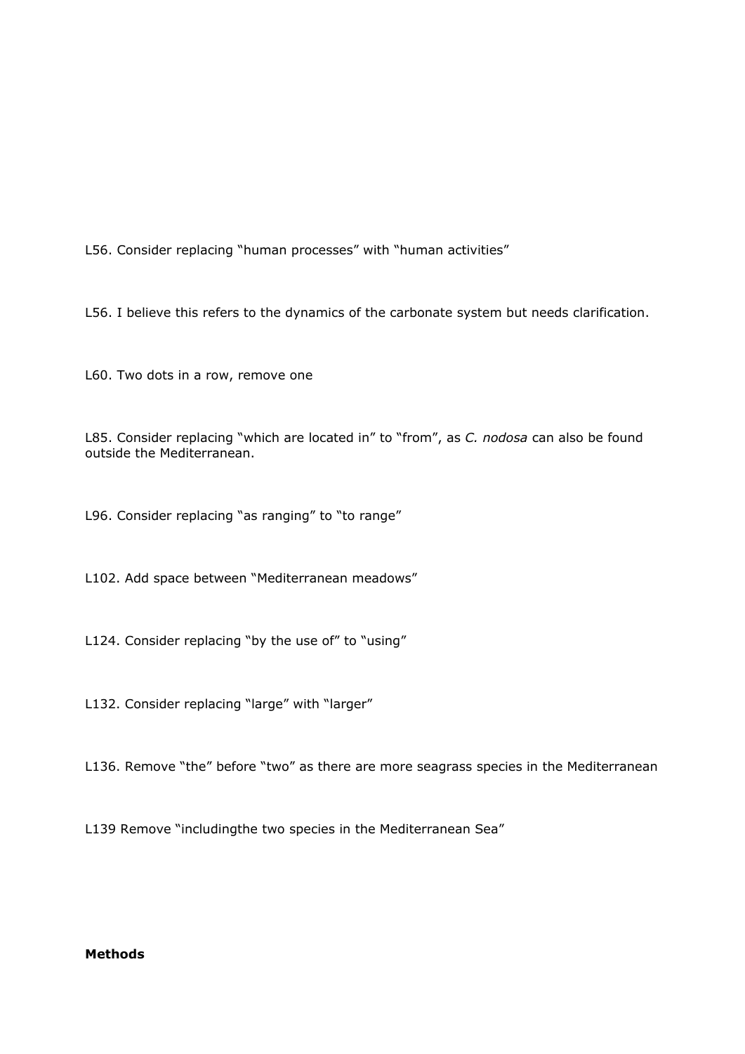L56. Consider replacing "human processes" with "human activities"

L56. I believe this refers to the dynamics of the carbonate system but needs clarification.

L60. Two dots in a row, remove one

L85. Consider replacing "which are located in" to "from", as *C. nodosa* can also be found outside the Mediterranean.

L96. Consider replacing "as ranging" to "to range"

L102. Add space between "Mediterranean meadows"

L124. Consider replacing "by the use of" to "using"

L132. Consider replacing "large" with "larger"

L136. Remove "the" before "two" as there are more seagrass species in the Mediterranean

L139 Remove "includingthe two species in the Mediterranean Sea"

# **Methods**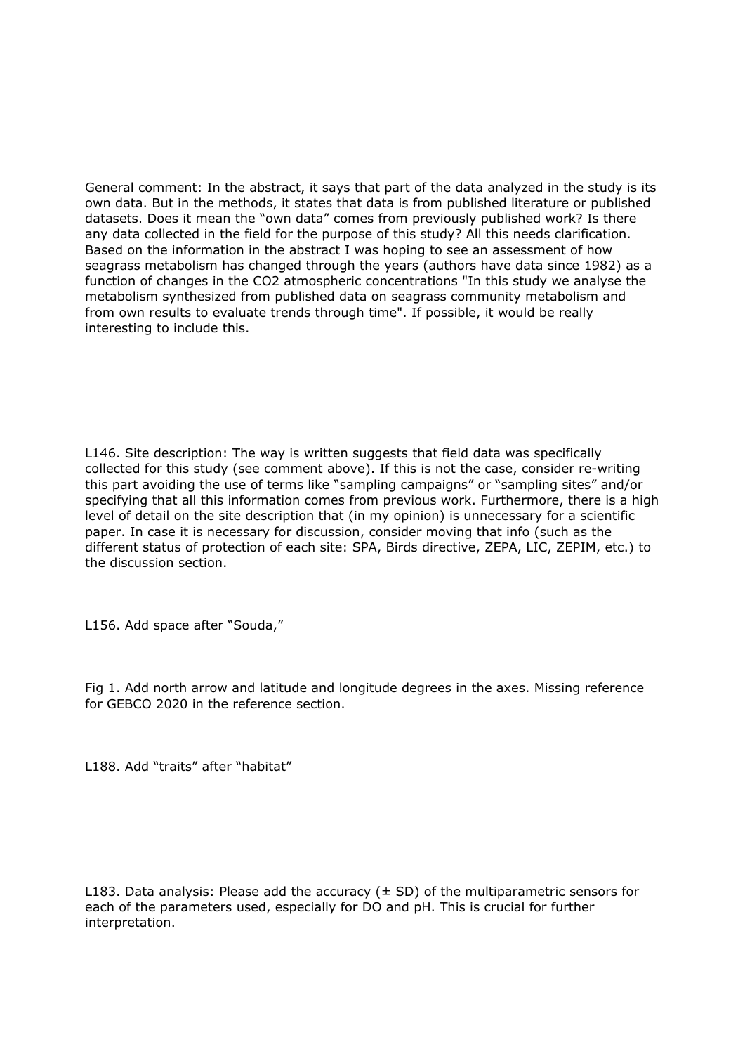General comment: In the abstract, it says that part of the data analyzed in the study is its own data. But in the methods, it states that data is from published literature or published datasets. Does it mean the "own data" comes from previously published work? Is there any data collected in the field for the purpose of this study? All this needs clarification. Based on the information in the abstract I was hoping to see an assessment of how seagrass metabolism has changed through the years (authors have data since 1982) as a function of changes in the CO2 atmospheric concentrations "In this study we analyse the metabolism synthesized from published data on seagrass community metabolism and from own results to evaluate trends through time". If possible, it would be really interesting to include this.

L146. Site description: The way is written suggests that field data was specifically collected for this study (see comment above). If this is not the case, consider re-writing this part avoiding the use of terms like "sampling campaigns" or "sampling sites" and/or specifying that all this information comes from previous work. Furthermore, there is a high level of detail on the site description that (in my opinion) is unnecessary for a scientific paper. In case it is necessary for discussion, consider moving that info (such as the different status of protection of each site: SPA, Birds directive, ZEPA, LIC, ZEPIM, etc.) to the discussion section.

L156. Add space after "Souda,"

Fig 1. Add north arrow and latitude and longitude degrees in the axes. Missing reference for GEBCO 2020 in the reference section.

L188. Add "traits" after "habitat"

L183. Data analysis: Please add the accuracy  $(\pm S)$  of the multiparametric sensors for each of the parameters used, especially for DO and pH. This is crucial for further interpretation.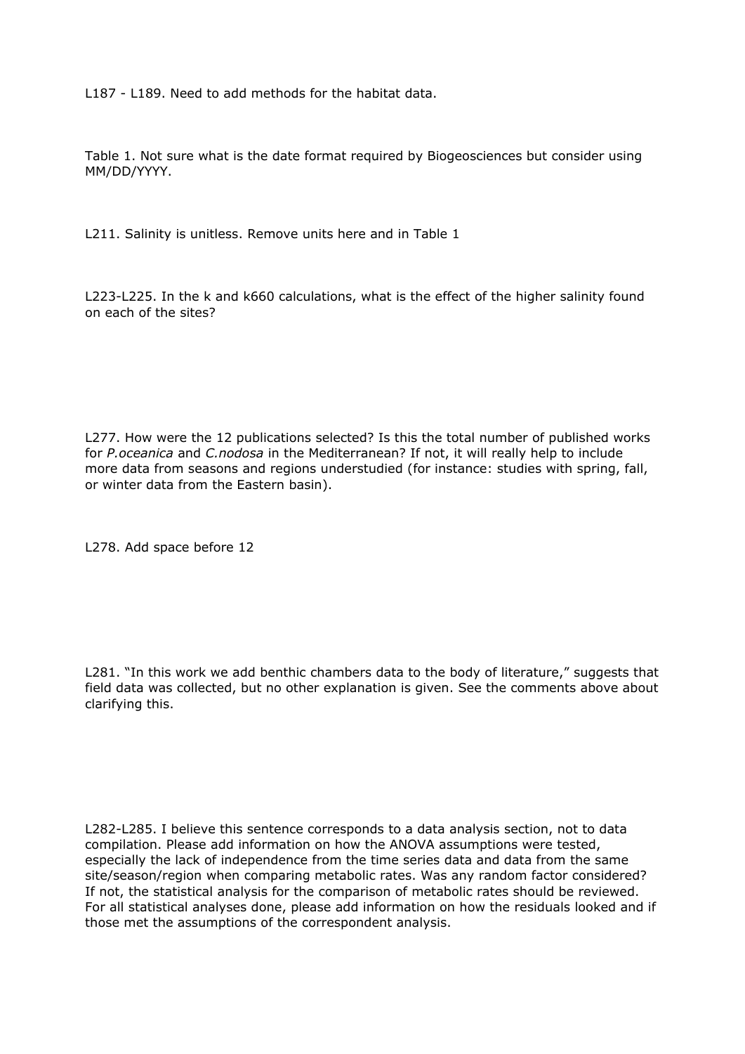L187 - L189. Need to add methods for the habitat data.

Table 1. Not sure what is the date format required by Biogeosciences but consider using MM/DD/YYYY.

L211. Salinity is unitless. Remove units here and in Table 1

L223-L225. In the k and k660 calculations, what is the effect of the higher salinity found on each of the sites?

L277. How were the 12 publications selected? Is this the total number of published works for *P.oceanica* and *C.nodosa* in the Mediterranean? If not, it will really help to include more data from seasons and regions understudied (for instance: studies with spring, fall, or winter data from the Eastern basin).

L278. Add space before 12

L281. "In this work we add benthic chambers data to the body of literature," suggests that field data was collected, but no other explanation is given. See the comments above about clarifying this.

L282-L285. I believe this sentence corresponds to a data analysis section, not to data compilation. Please add information on how the ANOVA assumptions were tested, especially the lack of independence from the time series data and data from the same site/season/region when comparing metabolic rates. Was any random factor considered? If not, the statistical analysis for the comparison of metabolic rates should be reviewed. For all statistical analyses done, please add information on how the residuals looked and if those met the assumptions of the correspondent analysis.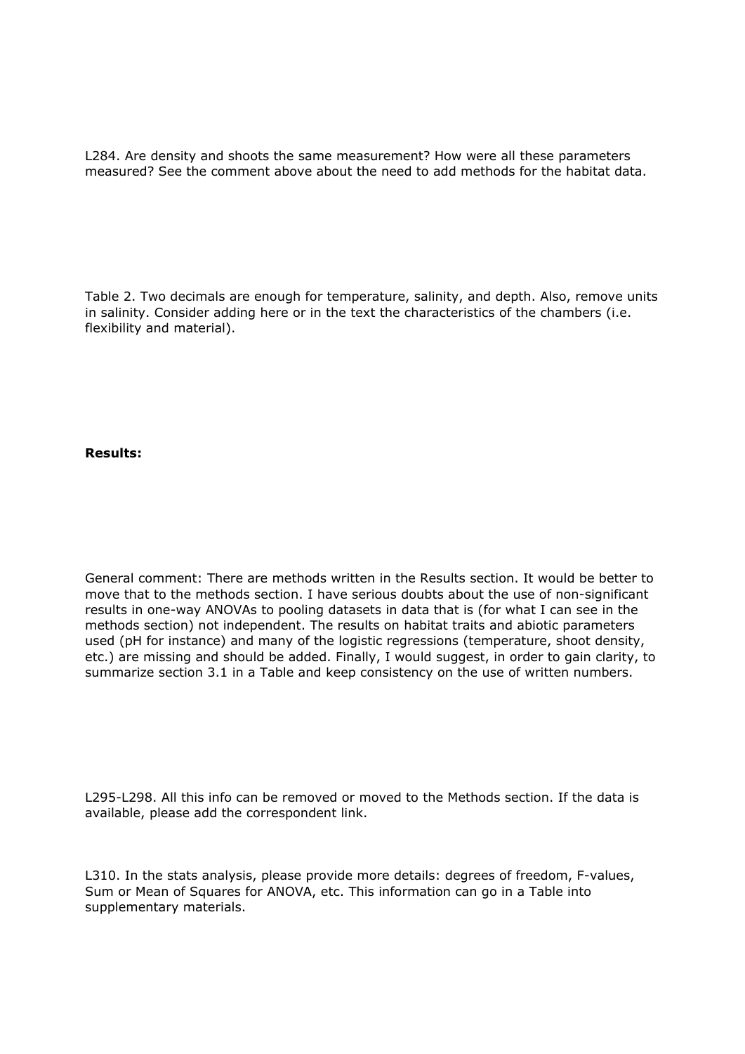L284. Are density and shoots the same measurement? How were all these parameters measured? See the comment above about the need to add methods for the habitat data.

Table 2. Two decimals are enough for temperature, salinity, and depth. Also, remove units in salinity. Consider adding here or in the text the characteristics of the chambers (i.e. flexibility and material).

**Results:**

General comment: There are methods written in the Results section. It would be better to move that to the methods section. I have serious doubts about the use of non-significant results in one-way ANOVAs to pooling datasets in data that is (for what I can see in the methods section) not independent. The results on habitat traits and abiotic parameters used (pH for instance) and many of the logistic regressions (temperature, shoot density, etc.) are missing and should be added. Finally, I would suggest, in order to gain clarity, to summarize section 3.1 in a Table and keep consistency on the use of written numbers.

L295-L298. All this info can be removed or moved to the Methods section. If the data is available, please add the correspondent link.

L310. In the stats analysis, please provide more details: degrees of freedom, F-values, Sum or Mean of Squares for ANOVA, etc. This information can go in a Table into supplementary materials.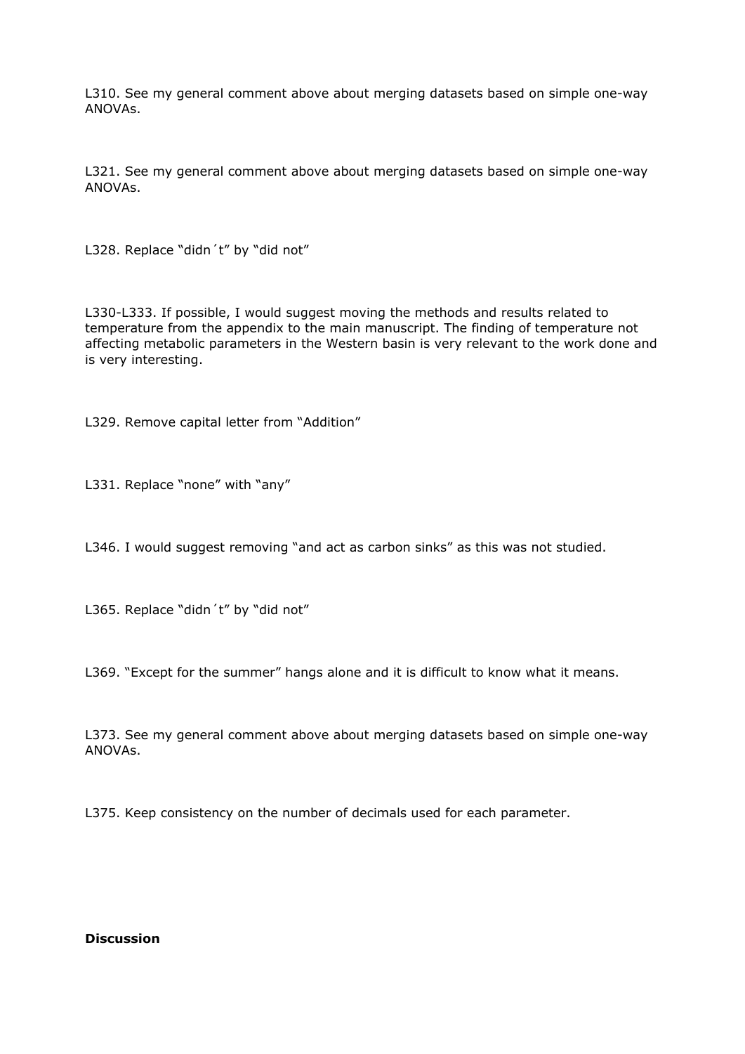L310. See my general comment above about merging datasets based on simple one-way ANOVAs.

L321. See my general comment above about merging datasets based on simple one-way ANOVAs.

L328. Replace "didn't" by "did not"

L330-L333. If possible, I would suggest moving the methods and results related to temperature from the appendix to the main manuscript. The finding of temperature not affecting metabolic parameters in the Western basin is very relevant to the work done and is very interesting.

L329. Remove capital letter from "Addition"

L331. Replace "none" with "any"

L346. I would suggest removing "and act as carbon sinks" as this was not studied.

L365. Replace "didn't" by "did not"

L369. "Except for the summer" hangs alone and it is difficult to know what it means.

L373. See my general comment above about merging datasets based on simple one-way ANOVAs.

L375. Keep consistency on the number of decimals used for each parameter.

#### **Discussion**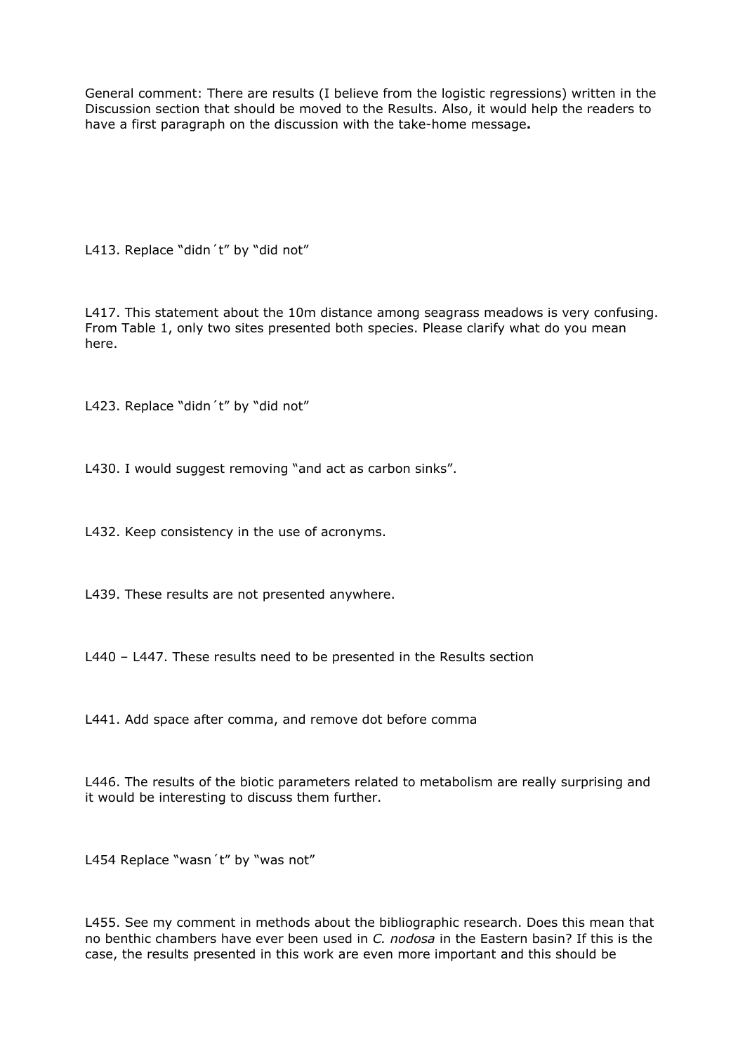General comment: There are results (I believe from the logistic regressions) written in the Discussion section that should be moved to the Results. Also, it would help the readers to have a first paragraph on the discussion with the take-home message**.**

L413. Replace "didn't" by "did not"

L417. This statement about the 10m distance among seagrass meadows is very confusing. From Table 1, only two sites presented both species. Please clarify what do you mean here.

L423. Replace "didn't" by "did not"

L430. I would suggest removing "and act as carbon sinks".

L432. Keep consistency in the use of acronyms.

L439. These results are not presented anywhere.

L440 – L447. These results need to be presented in the Results section

L441. Add space after comma, and remove dot before comma

L446. The results of the biotic parameters related to metabolism are really surprising and it would be interesting to discuss them further.

L454 Replace "wasn't" by "was not"

L455. See my comment in methods about the bibliographic research. Does this mean that no benthic chambers have ever been used in *C. nodosa* in the Eastern basin? If this is the case, the results presented in this work are even more important and this should be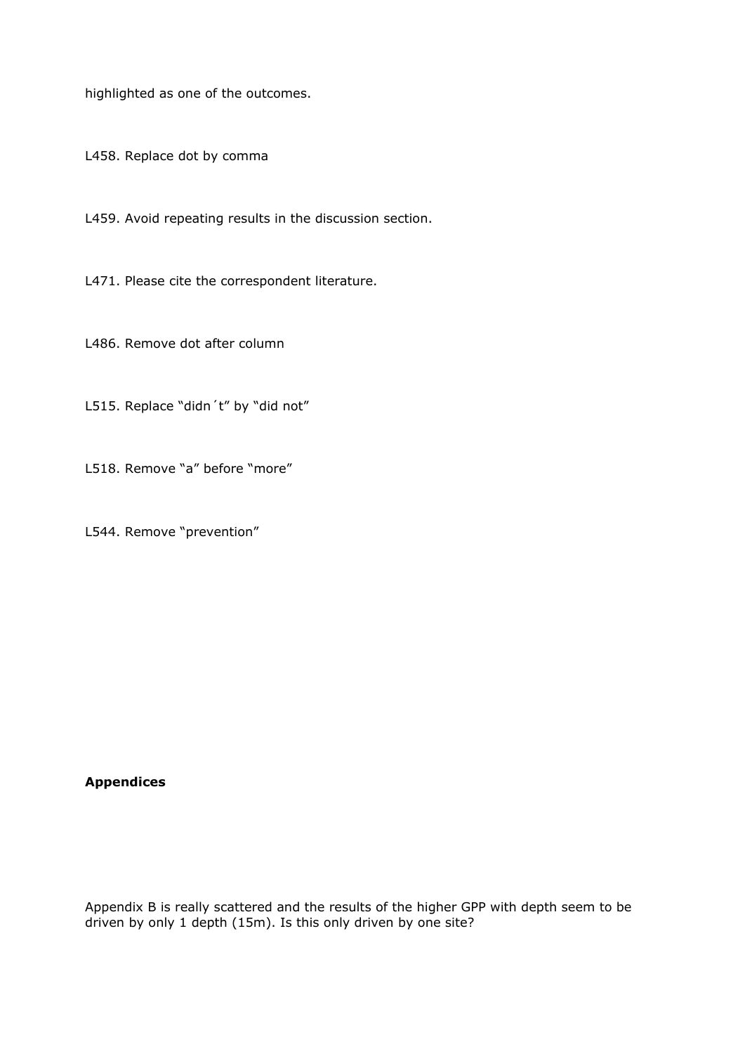highlighted as one of the outcomes.

L458. Replace dot by comma

L459. Avoid repeating results in the discussion section.

L471. Please cite the correspondent literature.

L486. Remove dot after column

L515. Replace "didn't" by "did not"

L518. Remove "a" before "more"

L544. Remove "prevention"

## **Appendices**

Appendix B is really scattered and the results of the higher GPP with depth seem to be driven by only 1 depth (15m). Is this only driven by one site?